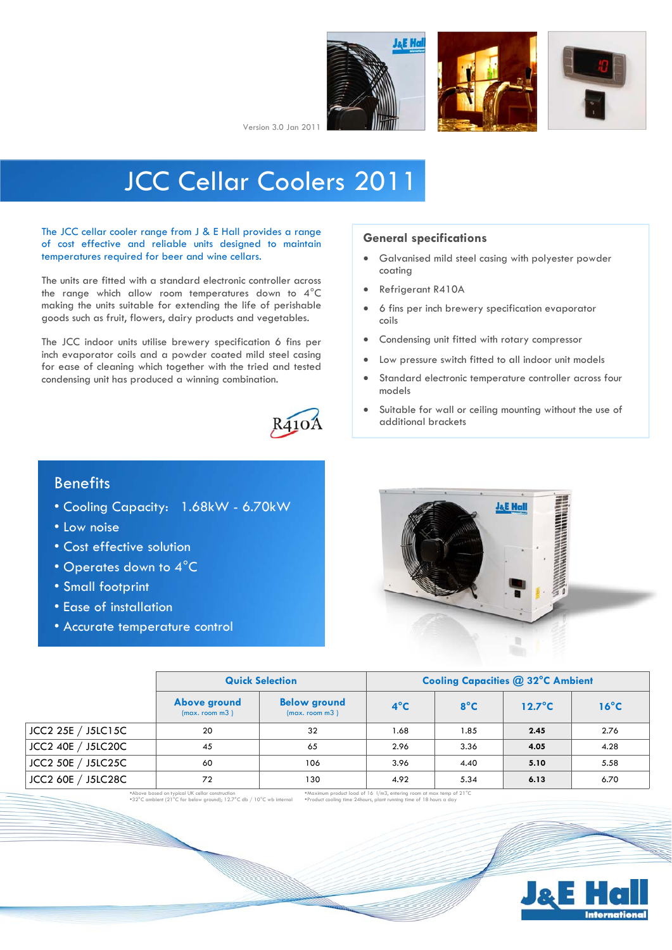





Version 3.0 Jan 2011

# JCC Cellar Coolers 2011

The JCC cellar cooler range from J & E Hall provides a range of cost effective and reliable units designed to maintain temperatures required for beer and wine cellars.

The units are fitted with a standard electronic controller across the range which allow room temperatures down to 4°C making the units suitable for extending the life of perishable goods such as fruit, flowers, dairy products and vegetables.

The JCC indoor units utilise brewery specification 6 fins per inch evaporator coils and a powder coated mild steel casing for ease of cleaning which together with the tried and tested condensing unit has produced a winning combination.



#### **General specifications**

- Galvanised mild steel casing with polyester powder coating
- Refrigerant R410A
- 6 fins per inch brewery specification evaporator coils
- Condensing unit fitted with rotary compressor
- Low pressure switch fitted to all indoor unit models
- Standard electronic temperature controller across four models
- Suitable for wall or ceiling mounting without the use of additional brackets

## **Benefits**

- Cooling Capacity: 1.68kW 6.70kW
- Low noise
- Cost effective solution
- Operates down to 4°C
- Small footprint
- Ease of installation
- Accurate temperature control



|                    | <b>Quick Selection</b>         | <b>Cooling Capacities @ 32°C Ambient</b> |               |               |                  |                |  |
|--------------------|--------------------------------|------------------------------------------|---------------|---------------|------------------|----------------|--|
|                    | Above ground<br>(max. room m3) | <b>Below ground</b><br>(max. room m3)    | $4^{\circ}$ C | $8^{\circ}$ C | $12.7^{\circ}$ C | $16^{\circ}$ C |  |
| JCC2 25E / J5LC15C | 20                             | 32                                       | 1.68          | 1.85          | 2.45             | 2.76           |  |
| JCC2 40E / J5LC20C | 45                             | 65                                       | 2.96          | 3.36          | 4.05             | 4.28           |  |
| JCC2 50E / J5LC25C | 60                             | 106                                      | 3.96          | 4.40          | 5.10             | 5.58           |  |
| JCC2 60E / J5LC28C | 72                             | 130                                      | 4.92          | 5.34          | 6.13             | 6.70           |  |

Above based on typical UK cellar construction 32°C ambient (21°C for below ground); 12.7°C db / 10°C wb internal

Maximum product load of 16 l/m3, entering room at max temp of 21°C Product cooling time 24hours, plant running time of 18 hours a day